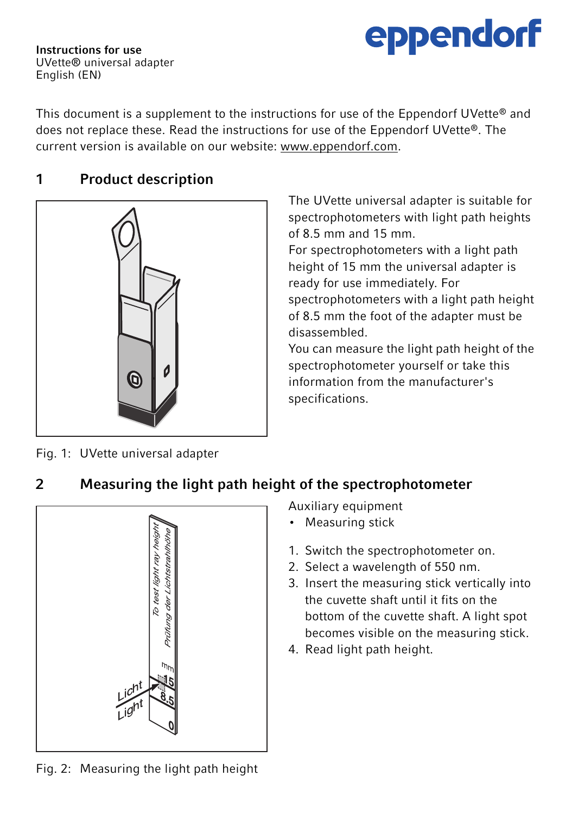

Instructions for use UVette® universal adapter English (EN)

This document is a supplement to the instructions for use of the Eppendorf UVette® and does not replace these. Read the instructions for use of the Eppendorf UVette®. The current version is available on our website: www.eppendorf.com.

## 1 Product description



The UVette universal adapter is suitable for spectrophotometers with light path heights of 8.5 mm and 15 mm.

For spectrophotometers with a light path height of 15 mm the universal adapter is ready for use immediately. For spectrophotometers with a light path height of 8.5 mm the foot of the adapter must be disassembled.

You can measure the light path height of the spectrophotometer yourself or take this information from the manufacturer's specifications.

Fig. 1: UVette universal adapter

## 2 Measuring the light path height of the spectrophotometer



Auxiliary equipment

- Measuring stick
- 1. Switch the spectrophotometer on.
- 2. Select a wavelength of 550 nm.
- 3. Insert the measuring stick vertically into the cuvette shaft until it fits on the bottom of the cuvette shaft. A light spot becomes visible on the measuring stick.
- 4. Read light path height.

Fig. 2: Measuring the light path height